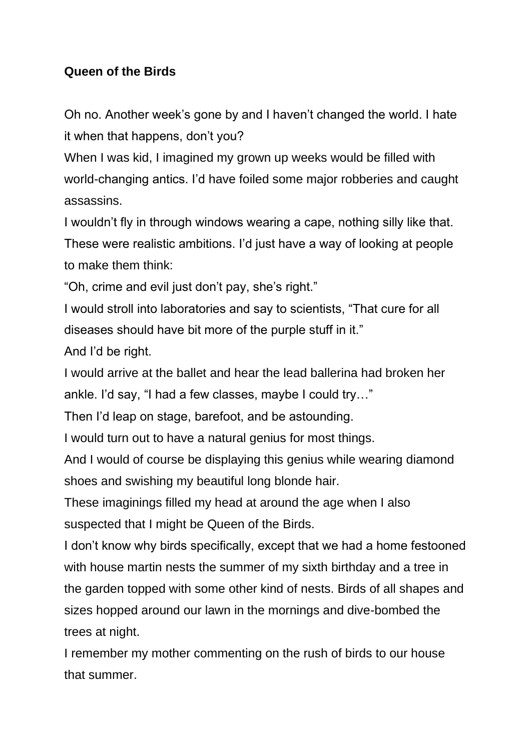## **Queen of the Birds**

Oh no. Another week's gone by and I haven't changed the world. I hate it when that happens, don't you?

When I was kid, I imagined my grown up weeks would be filled with world-changing antics. I'd have foiled some major robberies and caught assassins.

I wouldn't fly in through windows wearing a cape, nothing silly like that. These were realistic ambitions. I'd just have a way of looking at people to make them think:

"Oh, crime and evil just don't pay, she's right."

I would stroll into laboratories and say to scientists, "That cure for all diseases should have bit more of the purple stuff in it."

And I'd be right.

I would arrive at the ballet and hear the lead ballerina had broken her ankle. I'd say, "I had a few classes, maybe I could try…"

Then I'd leap on stage, barefoot, and be astounding.

I would turn out to have a natural genius for most things.

And I would of course be displaying this genius while wearing diamond shoes and swishing my beautiful long blonde hair.

These imaginings filled my head at around the age when I also suspected that I might be Queen of the Birds.

I don't know why birds specifically, except that we had a home festooned with house martin nests the summer of my sixth birthday and a tree in the garden topped with some other kind of nests. Birds of all shapes and sizes hopped around our lawn in the mornings and dive-bombed the trees at night.

I remember my mother commenting on the rush of birds to our house that summer.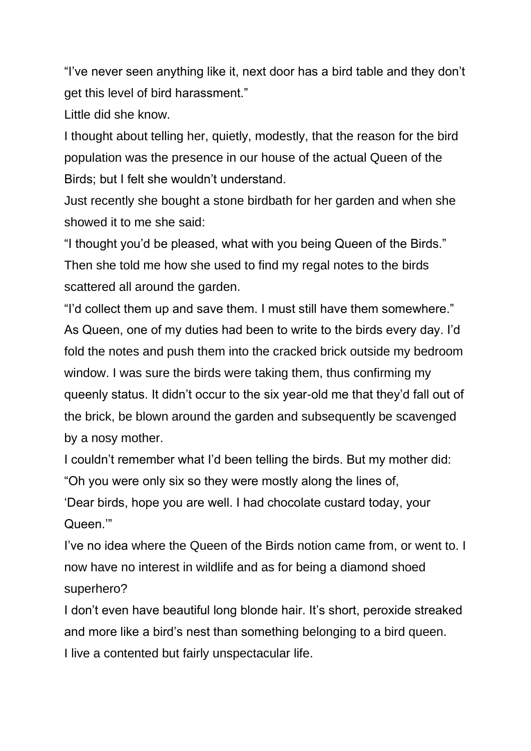"I've never seen anything like it, next door has a bird table and they don't get this level of bird harassment."

Little did she know.

I thought about telling her, quietly, modestly, that the reason for the bird population was the presence in our house of the actual Queen of the Birds; but I felt she wouldn't understand.

Just recently she bought a stone birdbath for her garden and when she showed it to me she said:

"I thought you'd be pleased, what with you being Queen of the Birds." Then she told me how she used to find my regal notes to the birds scattered all around the garden.

"I'd collect them up and save them. I must still have them somewhere." As Queen, one of my duties had been to write to the birds every day. I'd fold the notes and push them into the cracked brick outside my bedroom window. I was sure the birds were taking them, thus confirming my queenly status. It didn't occur to the six year-old me that they'd fall out of the brick, be blown around the garden and subsequently be scavenged by a nosy mother.

I couldn't remember what I'd been telling the birds. But my mother did: "Oh you were only six so they were mostly along the lines of,

'Dear birds, hope you are well. I had chocolate custard today, your Queen.'"

I've no idea where the Queen of the Birds notion came from, or went to. I now have no interest in wildlife and as for being a diamond shoed superhero?

I don't even have beautiful long blonde hair. It's short, peroxide streaked and more like a bird's nest than something belonging to a bird queen. I live a contented but fairly unspectacular life.